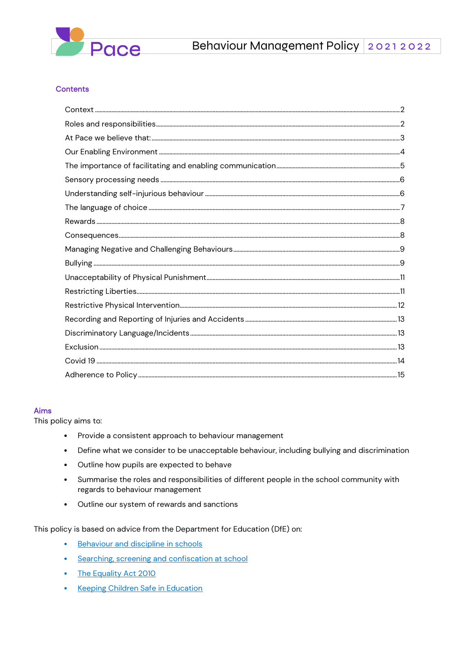

#### **Contents**

#### **Aims**

This policy aims to:

- Provide a consistent approach to behaviour management  $\bullet$
- Define what we consider to be unacceptable behaviour, including bullying and discrimination  $\bullet$
- Outline how pupils are expected to behave  $\bullet$
- Summarise the roles and responsibilities of different people in the school community with  $\bullet$ regards to behaviour management
- Outline our system of rewards and sanctions  $\bullet$

This policy is based on advice from the Department for Education (DfE) on:

- Behaviour and discipline in schools  $\bullet$
- Searching, screening and confiscation at school  $\bullet$
- The Equality Act 2010  $\bullet$
- **Keeping Children Safe in Education**  $\bullet$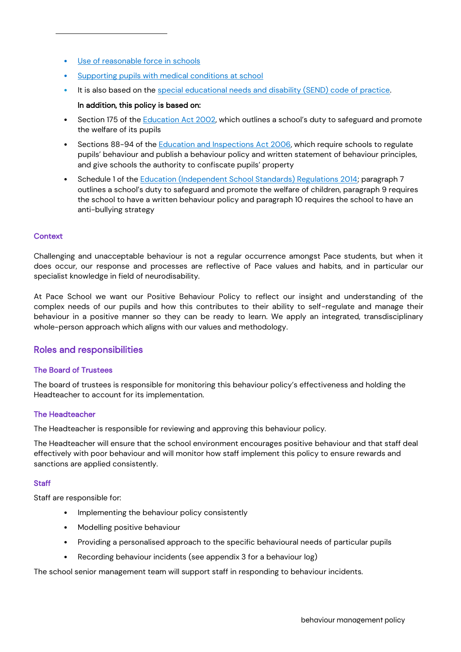- [Use of reasonable force in schools](https://www.gov.uk/government/publications/use-of-reasonable-force-in-schools)
- [Supporting pupils with medical conditions at school](https://www.gov.uk/government/publications/supporting-pupils-at-school-with-medical-conditions--3)
- It is also based on the [special educational needs and disability \(SEND\) code of practice.](https://www.gov.uk/government/publications/send-code-of-practice-0-to-25)

#### In addition, this policy is based on:

- Section 175 of the [Education Act 2002,](http://www.legislation.gov.uk/ukpga/2002/32/section/175) which outlines a school's duty to safeguard and promote the welfare of its pupils
- Sections 88-94 of the [Education and Inspections Act 2006,](http://www.legislation.gov.uk/ukpga/2006/40/section/88) which require schools to regulate pupils' behaviour and publish a behaviour policy and written statement of behaviour principles, and give schools the authority to confiscate pupils' property
- Schedule 1 of the [Education \(Independent School Standards\) Regulations 2014;](http://www.legislation.gov.uk/uksi/2014/3283/schedule/made) paragraph 7 outlines a school's duty to safeguard and promote the welfare of children, paragraph 9 requires the school to have a written behaviour policy and paragraph 10 requires the school to have an anti-bullying strategy

#### <span id="page-1-0"></span>Context

Challenging and unacceptable behaviour is not a regular occurrence amongst Pace students, but when it does occur, our response and processes are reflective of Pace values and habits, and in particular our specialist knowledge in field of neurodisability.

At Pace School we want our Positive Behaviour Policy to reflect our insight and understanding of the complex needs of our pupils and how this contributes to their ability to self-regulate and manage their behaviour in a positive manner so they can be ready to learn. We apply an integrated, transdisciplinary whole-person approach which aligns with our values and methodology.

#### <span id="page-1-1"></span>Roles and responsibilities

#### The Board of Trustees

The board of trustees is responsible for monitoring this behaviour policy's effectiveness and holding the Headteacher to account for its implementation.

#### The Headteacher

The Headteacher is responsible for reviewing and approving this behaviour policy.

The Headteacher will ensure that the school environment encourages positive behaviour and that staff deal effectively with poor behaviour and will monitor how staff implement this policy to ensure rewards and sanctions are applied consistently.

#### **Staff**

Staff are responsible for:

- Implementing the behaviour policy consistently
- Modelling positive behaviour
- Providing a personalised approach to the specific behavioural needs of particular pupils
- Recording behaviour incidents (see appendix 3 for a behaviour log)

The school senior management team will support staff in responding to behaviour incidents.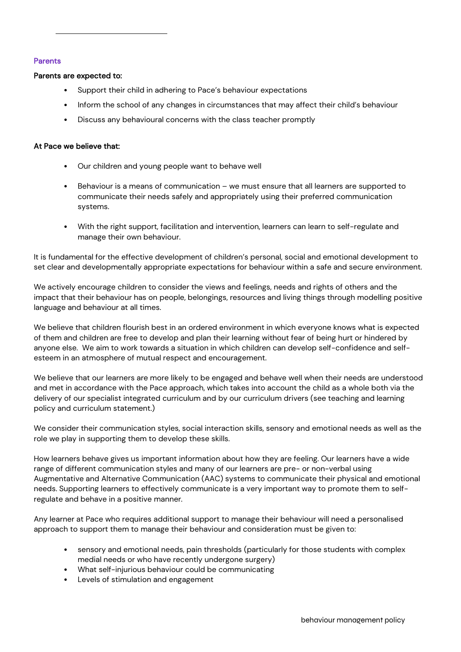#### Parents

#### Parents are expected to:

- Support their child in adhering to Pace's behaviour expectations
- Inform the school of any changes in circumstances that may affect their child's behaviour
- Discuss any behavioural concerns with the class teacher promptly

#### <span id="page-2-0"></span>At Pace we believe that:

- Our children and young people want to behave well
- Behaviour is a means of communication we must ensure that all learners are supported to communicate their needs safely and appropriately using their preferred communication systems.
- With the right support, facilitation and intervention, learners can learn to self-regulate and manage their own behaviour.

It is fundamental for the effective development of children's personal, social and emotional development to set clear and developmentally appropriate expectations for behaviour within a safe and secure environment.

We actively encourage children to consider the views and feelings, needs and rights of others and the impact that their behaviour has on people, belongings, resources and living things through modelling positive language and behaviour at all times.

We believe that children flourish best in an ordered environment in which everyone knows what is expected of them and children are free to develop and plan their learning without fear of being hurt or hindered by anyone else. We aim to work towards a situation in which children can develop self-confidence and selfesteem in an atmosphere of mutual respect and encouragement.

We believe that our learners are more likely to be engaged and behave well when their needs are understood and met in accordance with the Pace approach, which takes into account the child as a whole both via the delivery of our specialist integrated curriculum and by our curriculum drivers (see teaching and learning policy and curriculum statement.)

We consider their communication styles, social interaction skills, sensory and emotional needs as well as the role we play in supporting them to develop these skills.

How learners behave gives us important information about how they are feeling. Our learners have a wide range of different communication styles and many of our learners are pre- or non-verbal using Augmentative and Alternative Communication (AAC) systems to communicate their physical and emotional needs. Supporting learners to effectively communicate is a very important way to promote them to selfregulate and behave in a positive manner.

Any learner at Pace who requires additional support to manage their behaviour will need a personalised approach to support them to manage their behaviour and consideration must be given to:

- sensory and emotional needs, pain thresholds (particularly for those students with complex medial needs or who have recently undergone surgery)
- What self-injurious behaviour could be communicating
- Levels of stimulation and engagement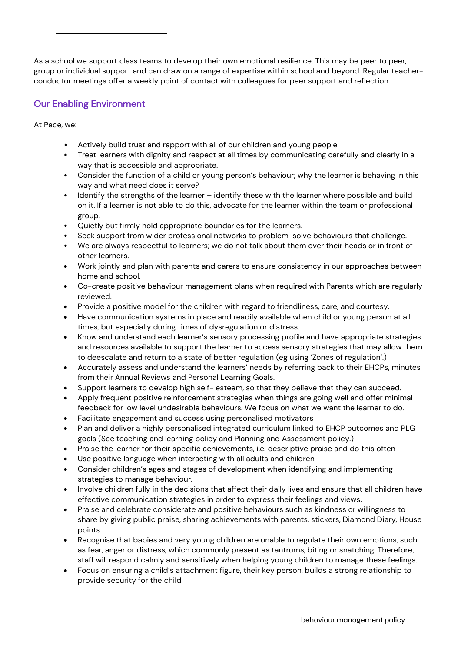As a school we support class teams to develop their own emotional resilience. This may be peer to peer, group or individual support and can draw on a range of expertise within school and beyond. Regular teacherconductor meetings offer a weekly point of contact with colleagues for peer support and reflection.

# <span id="page-3-0"></span>Our Enabling Environment

At Pace, we:

- Actively build trust and rapport with all of our children and young people
- Treat learners with dignity and respect at all times by communicating carefully and clearly in a way that is accessible and appropriate.
- Consider the function of a child or young person's behaviour; why the learner is behaving in this way and what need does it serve?
- Identify the strengths of the learner identify these with the learner where possible and build on it. If a learner is not able to do this, advocate for the learner within the team or professional group.
- Quietly but firmly hold appropriate boundaries for the learners.
- Seek support from wider professional networks to problem-solve behaviours that challenge.
- We are always respectful to learners; we do not talk about them over their heads or in front of other learners.
- Work jointly and plan with parents and carers to ensure consistency in our approaches between home and school.
- Co-create positive behaviour management plans when required with Parents which are regularly reviewed.
- Provide a positive model for the children with regard to friendliness, care, and courtesy.
- Have communication systems in place and readily available when child or young person at all times, but especially during times of dysregulation or distress.
- Know and understand each learner's sensory processing profile and have appropriate strategies and resources available to support the learner to access sensory strategies that may allow them to deescalate and return to a state of better regulation (eg using 'Zones of regulation'.)
- Accurately assess and understand the learners' needs by referring back to their EHCPs, minutes from their Annual Reviews and Personal Learning Goals.
- Support learners to develop high self- esteem, so that they believe that they can succeed.
- Apply frequent positive reinforcement strategies when things are going well and offer minimal feedback for low level undesirable behaviours. We focus on what we want the learner to do.
- Facilitate engagement and success using personalised motivators
- Plan and deliver a highly personalised integrated curriculum linked to EHCP outcomes and PLG goals (See teaching and learning policy and Planning and Assessment policy.)
- Praise the learner for their specific achievements, i.e. descriptive praise and do this often
- Use positive language when interacting with all adults and children
- Consider children's ages and stages of development when identifying and implementing strategies to manage behaviour.
- Involve children fully in the decisions that affect their daily lives and ensure that all children have effective communication strategies in order to express their feelings and views.
- Praise and celebrate considerate and positive behaviours such as kindness or willingness to share by giving public praise, sharing achievements with parents, stickers, Diamond Diary, House points.
- Recognise that babies and very young children are unable to regulate their own emotions, such as fear, anger or distress, which commonly present as tantrums, biting or snatching. Therefore, staff will respond calmly and sensitively when helping young children to manage these feelings.
- Focus on ensuring a child's attachment figure, their key person, builds a strong relationship to provide security for the child.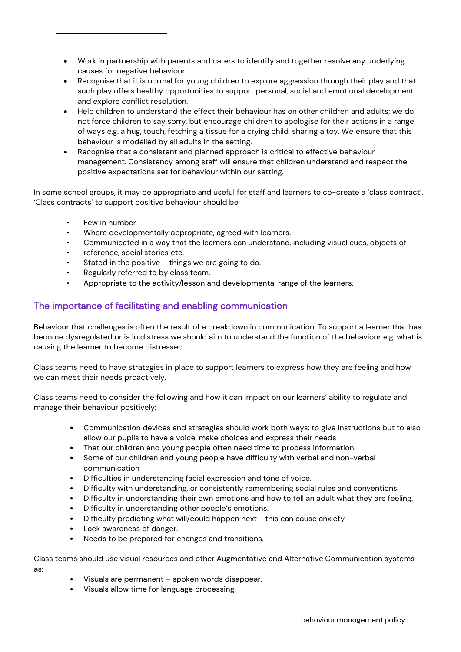- Recognise that it is normal for young children to explore aggression through their play and that such play offers healthy opportunities to support personal, social and emotional development and explore conflict resolution.
- Help children to understand the effect their behaviour has on other children and adults; we do not force children to say sorry, but encourage children to apologise for their actions in a range of ways e.g. a hug, touch, fetching a tissue for a crying child, sharing a toy. We ensure that this behaviour is modelled by all adults in the setting.
- Recognise that a consistent and planned approach is critical to effective behaviour management. Consistency among staff will ensure that children understand and respect the positive expectations set for behaviour within our setting.

In some school groups, it may be appropriate and useful for staff and learners to co-create a 'class contract'. 'Class contracts' to support positive behaviour should be:

- Few in number
- Where developmentally appropriate, agreed with learners.
- Communicated in a way that the learners can understand, including visual cues, objects of
- reference, social stories etc.
- Stated in the positive  $-$  things we are going to do.
- Regularly referred to by class team.
- Appropriate to the activity/lesson and developmental range of the learners.

# <span id="page-4-0"></span>The importance of facilitating and enabling communication

Behaviour that challenges is often the result of a breakdown in communication. To support a learner that has become dysregulated or is in distress we should aim to understand the function of the behaviour e.g. what is causing the learner to become distressed.

Class teams need to have strategies in place to support learners to express how they are feeling and how we can meet their needs proactively.

Class teams need to consider the following and how it can impact on our learners' ability to regulate and manage their behaviour positively:

- Communication devices and strategies should work both ways: to give instructions but to also allow our pupils to have a voice, make choices and express their needs
- That our children and young people often need time to process information.
- Some of our children and young people have difficulty with verbal and non-verbal communication
- Difficulties in understanding facial expression and tone of voice.
- Difficulty with understanding, or consistently remembering social rules and conventions.
- Difficulty in understanding their own emotions and how to tell an adult what they are feeling.
- Difficulty in understanding other people's emotions.
- Difficulty predicting what will/could happen next this can cause anxiety
- Lack awareness of danger.

as:

Needs to be prepared for changes and transitions.

Class teams should use visual resources and other Augmentative and Alternative Communication systems

- Visuals are permanent spoken words disappear.
- Visuals allow time for language processing.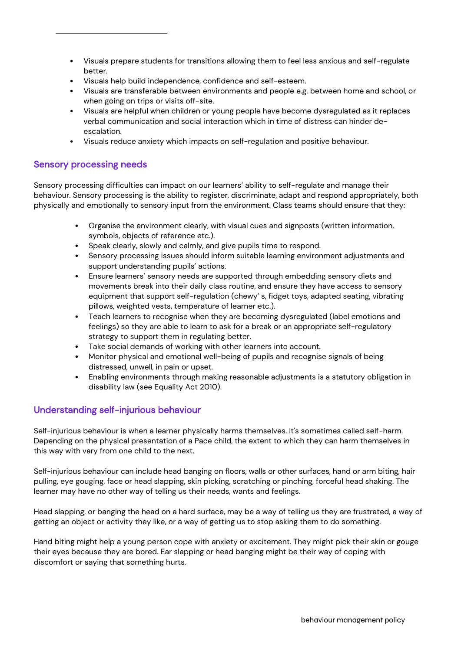- Visuals prepare students for transitions allowing them to feel less anxious and self-regulate better.
- Visuals help build independence, confidence and self-esteem.
- Visuals are transferable between environments and people e.g. between home and school, or when going on trips or visits off-site.
- Visuals are helpful when children or young people have become dysregulated as it replaces verbal communication and social interaction which in time of distress can hinder deescalation.
- Visuals reduce anxiety which impacts on self-regulation and positive behaviour.

## <span id="page-5-0"></span>Sensory processing needs

Sensory processing difficulties can impact on our learners' ability to self-regulate and manage their behaviour. Sensory processing is the ability to register, discriminate, adapt and respond appropriately, both physically and emotionally to sensory input from the environment. Class teams should ensure that they:

- Organise the environment clearly, with visual cues and signposts (written information, symbols, objects of reference etc.).
- Speak clearly, slowly and calmly, and give pupils time to respond.
- Sensory processing issues should inform suitable learning environment adjustments and support understanding pupils' actions.
- Ensure learners' sensory needs are supported through embedding sensory diets and movements break into their daily class routine, and ensure they have access to sensory equipment that support self-regulation (chewy' s, fidget toys, adapted seating, vibrating pillows, weighted vests, temperature of learner etc.).
- Teach learners to recognise when they are becoming dysregulated (label emotions and feelings) so they are able to learn to ask for a break or an appropriate self-regulatory strategy to support them in regulating better.
- Take social demands of working with other learners into account.
- Monitor physical and emotional well-being of pupils and recognise signals of being distressed, unwell, in pain or upset.
- Enabling environments through making reasonable adjustments is a statutory obligation in disability law (see Equality Act 2010).

# <span id="page-5-1"></span>Understanding self-injurious behaviour

Self-injurious behaviour is when a learner physically harms themselves. It's sometimes called self-harm. Depending on the physical presentation of a Pace child, the extent to which they can harm themselves in this way with vary from one child to the next.

Self-injurious behaviour can include head banging on floors, walls or other surfaces, hand or arm biting, hair pulling, eye gouging, face or head slapping, skin picking, scratching or pinching, forceful head shaking. The learner may have no other way of telling us their needs, wants and feelings.

Head slapping, or banging the head on a hard surface, may be a way of telling us they are frustrated, a way of getting an object or activity they like, or a way of getting us to stop asking them to do something.

Hand biting might help a young person cope with anxiety or excitement. They might pick their skin or gouge their eyes because they are bored. Ear slapping or head banging might be their way of coping with discomfort or saying that something hurts.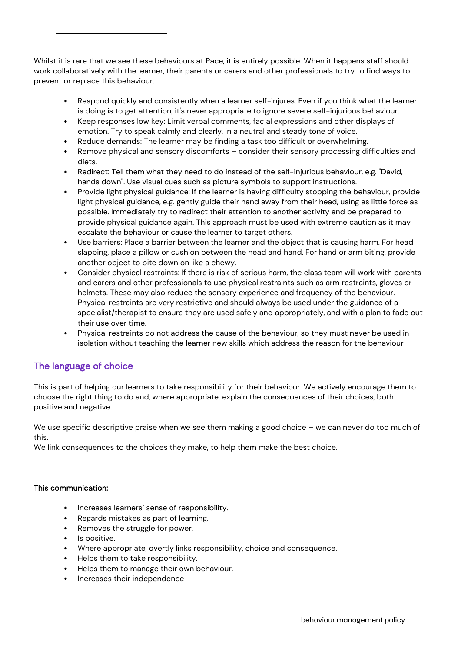Whilst it is rare that we see these behaviours at Pace, it is entirely possible. When it happens staff should work collaboratively with the learner, their parents or carers and other professionals to try to find ways to prevent or replace this behaviour:

- Respond quickly and consistently when a learner self-injures. Even if you think what the learner is doing is to get attention, it's never appropriate to ignore severe self-injurious behaviour.
- Keep responses low key: Limit verbal comments, facial expressions and other displays of emotion. Try to speak calmly and clearly, in a neutral and steady tone of voice.
- Reduce demands: The learner may be finding a task too difficult or overwhelming.
- Remove physical and sensory discomforts consider their sensory processing difficulties and diets.
- Redirect: Tell them what they need to do instead of the self-injurious behaviour, e.g. "David, hands down". Use visual cues such as picture symbols to support instructions.
- Provide light physical guidance: If the learner is having difficulty stopping the behaviour, provide light physical guidance, e.g. gently guide their hand away from their head, using as little force as possible. Immediately try to redirect their attention to another activity and be prepared to provide physical guidance again. This approach must be used with extreme caution as it may escalate the behaviour or cause the learner to target others.
- Use barriers: Place a barrier between the learner and the object that is causing harm. For head slapping, place a pillow or cushion between the head and hand. For hand or arm biting, provide another object to bite down on like a chewy.
- Consider physical restraints: If there is risk of serious harm, the class team will work with parents and carers and other professionals to use physical restraints such as arm restraints, gloves or helmets. These may also reduce the sensory experience and frequency of the behaviour. Physical restraints are very restrictive and should always be used under the guidance of a specialist/therapist to ensure they are used safely and appropriately, and with a plan to fade out their use over time.
- Physical restraints do not address the cause of the behaviour, so they must never be used in isolation without teaching the learner new skills which address the reason for the behaviour

# <span id="page-6-0"></span>The language of choice

This is part of helping our learners to take responsibility for their behaviour. We actively encourage them to choose the right thing to do and, where appropriate, explain the consequences of their choices, both positive and negative.

We use specific descriptive praise when we see them making a good choice - we can never do too much of this.

We link consequences to the choices they make, to help them make the best choice.

### This communication:

- Increases learners' sense of responsibility.
- Regards mistakes as part of learning.
- Removes the struggle for power.
- Is positive.
- Where appropriate, overtly links responsibility, choice and consequence.
- Helps them to take responsibility.
- Helps them to manage their own behaviour.
- Increases their independence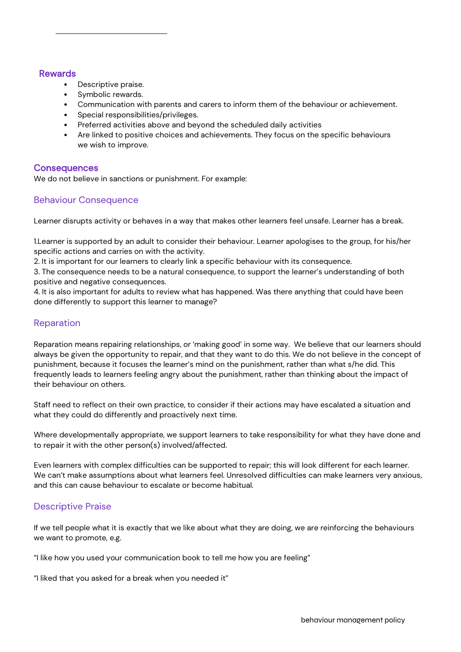### <span id="page-7-0"></span>Rewards

- Descriptive praise.
- Symbolic rewards.
- Communication with parents and carers to inform them of the behaviour or achievement.
- Special responsibilities/privileges.
- Preferred activities above and beyond the scheduled daily activities
- Are linked to positive choices and achievements. They focus on the specific behaviours we wish to improve.

### <span id="page-7-1"></span>**Consequences**

We do not believe in sanctions or punishment. For example:

### Behaviour Consequence

Learner disrupts activity or behaves in a way that makes other learners feel unsafe. Learner has a break.

1.Learner is supported by an adult to consider their behaviour. Learner apologises to the group, for his/her specific actions and carries on with the activity.

2. It is important for our learners to clearly link a specific behaviour with its consequence.

3. The consequence needs to be a natural consequence, to support the learner's understanding of both positive and negative consequences.

4. It is also important for adults to review what has happened. Was there anything that could have been done differently to support this learner to manage?

### Reparation

Reparation means repairing relationships, or 'making good' in some way. We believe that our learners should always be given the opportunity to repair, and that they want to do this. We do not believe in the concept of punishment, because it focuses the learner's mind on the punishment, rather than what s/he did. This frequently leads to learners feeling angry about the punishment, rather than thinking about the impact of their behaviour on others.

Staff need to reflect on their own practice, to consider if their actions may have escalated a situation and what they could do differently and proactively next time.

Where developmentally appropriate, we support learners to take responsibility for what they have done and to repair it with the other person(s) involved/affected.

Even learners with complex difficulties can be supported to repair; this will look different for each learner. We can't make assumptions about what learners feel. Unresolved difficulties can make learners very anxious, and this can cause behaviour to escalate or become habitual.

### Descriptive Praise

If we tell people what it is exactly that we like about what they are doing, we are reinforcing the behaviours we want to promote, e.g.

"I like how you used your communication book to tell me how you are feeling"

"I liked that you asked for a break when you needed it"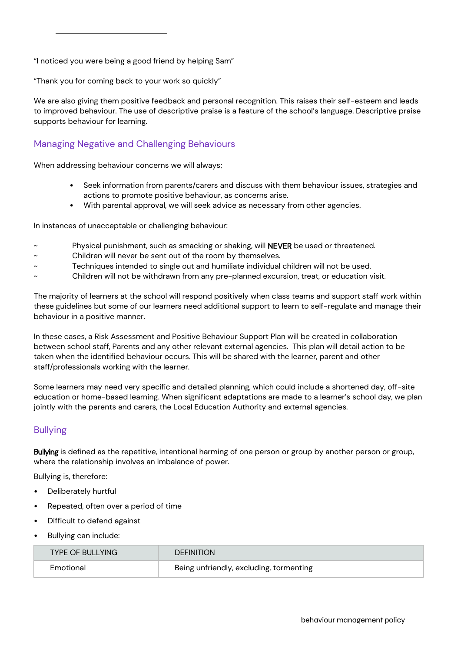"I noticed you were being a good friend by helping Sam"

"Thank you for coming back to your work so quickly"

We are also giving them positive feedback and personal recognition. This raises their self-esteem and leads to improved behaviour. The use of descriptive praise is a feature of the school's language. Descriptive praise supports behaviour for learning.

# <span id="page-8-0"></span>Managing Negative and Challenging Behaviours

When addressing behaviour concerns we will always;

- Seek information from parents/carers and discuss with them behaviour issues, strategies and actions to promote positive behaviour, as concerns arise.
- With parental approval, we will seek advice as necessary from other agencies.

In instances of unacceptable or challenging behaviour:

- Physical punishment, such as smacking or shaking, will NEVER be used or threatened.
- Children will never be sent out of the room by themselves.
- Techniques intended to single out and humiliate individual children will not be used.
- ~ Children will not be withdrawn from any pre-planned excursion, treat, or education visit.

The majority of learners at the school will respond positively when class teams and support staff work within these guidelines but some of our learners need additional support to learn to self-regulate and manage their behaviour in a positive manner.

In these cases, a Risk Assessment and Positive Behaviour Support Plan will be created in collaboration between school staff, Parents and any other relevant external agencies. This plan will detail action to be taken when the identified behaviour occurs. This will be shared with the learner, parent and other staff/professionals working with the learner.

Some learners may need very specific and detailed planning, which could include a shortened day, off-site education or home-based learning. When significant adaptations are made to a learner's school day, we plan jointly with the parents and carers, the Local Education Authority and external agencies.

# <span id="page-8-1"></span>Bullying

Bullying is defined as the repetitive, intentional harming of one person or group by another person or group, where the relationship involves an imbalance of power.

Bullying is, therefore:

- Deliberately hurtful
- Repeated, often over a period of time
- Difficult to defend against
- Bullying can include:

| <b>TYPE OF BULLYING</b> | <b>DEFINITION</b>                       |
|-------------------------|-----------------------------------------|
| Emotional               | Being unfriendly, excluding, tormenting |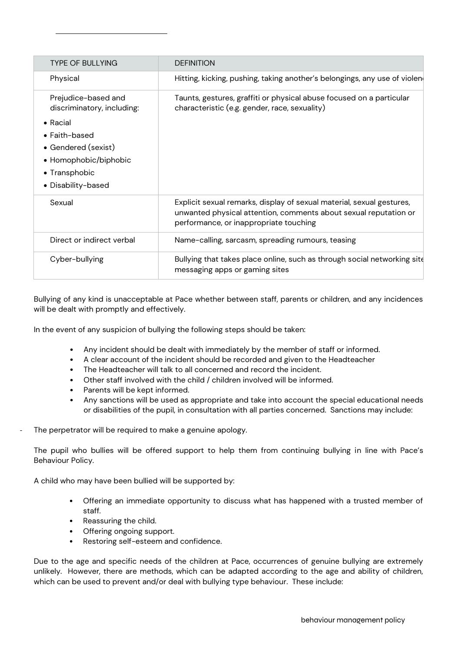| <b>TYPE OF BULLYING</b>                                                                                                                                                               | <b>DEFINITION</b>                                                                                                                                                                   |
|---------------------------------------------------------------------------------------------------------------------------------------------------------------------------------------|-------------------------------------------------------------------------------------------------------------------------------------------------------------------------------------|
| Physical                                                                                                                                                                              | Hitting, kicking, pushing, taking another's belongings, any use of violen                                                                                                           |
| Prejudice-based and<br>discriminatory, including:<br>$\bullet$ Racial<br>$\bullet$ Faith-based<br>• Gendered (sexist)<br>• Homophobic/biphobic<br>• Transphobic<br>• Disability-based | Taunts, gestures, graffiti or physical abuse focused on a particular<br>characteristic (e.g. gender, race, sexuality)                                                               |
| Sexual                                                                                                                                                                                | Explicit sexual remarks, display of sexual material, sexual gestures,<br>unwanted physical attention, comments about sexual reputation or<br>performance, or inappropriate touching |
| Direct or indirect verbal                                                                                                                                                             | Name-calling, sarcasm, spreading rumours, teasing                                                                                                                                   |
| Cyber-bullying                                                                                                                                                                        | Bullying that takes place online, such as through social networking site<br>messaging apps or gaming sites                                                                          |

Bullying of any kind is unacceptable at Pace whether between staff, parents or children, and any incidences will be dealt with promptly and effectively.

In the event of any suspicion of bullying the following steps should be taken:

- Any incident should be dealt with immediately by the member of staff or informed.
- A clear account of the incident should be recorded and given to the Headteacher
- The Headteacher will talk to all concerned and record the incident.
- Other staff involved with the child / children involved will be informed.
- Parents will be kept informed.
- Any sanctions will be used as appropriate and take into account the special educational needs or disabilities of the pupil, in consultation with all parties concerned. Sanctions may include:
- The perpetrator will be required to make a genuine apology.

The pupil who bullies will be offered support to help them from continuing bullying in line with Pace's Behaviour Policy.

A child who may have been bullied will be supported by:

- Offering an immediate opportunity to discuss what has happened with a trusted member of staff.
- Reassuring the child.
- Offering ongoing support.
- Restoring self-esteem and confidence.

Due to the age and specific needs of the children at Pace, occurrences of genuine bullying are extremely unlikely. However, there are methods, which can be adapted according to the age and ability of children, which can be used to prevent and/or deal with bullying type behaviour. These include: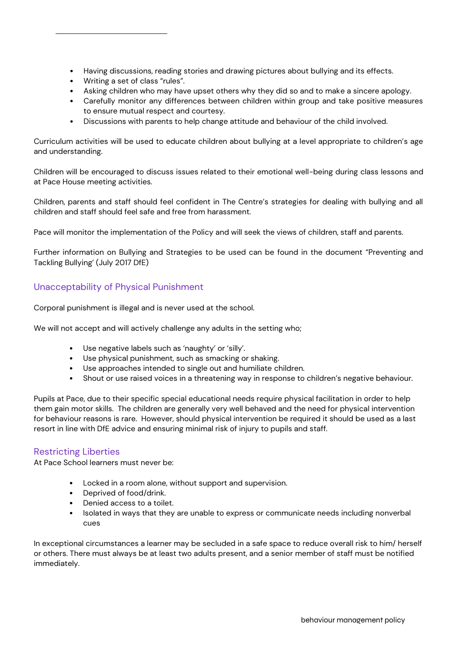- Having discussions, reading stories and drawing pictures about bullying and its effects.
- Writing a set of class "rules".
- Asking children who may have upset others why they did so and to make a sincere apology.
- Carefully monitor any differences between children within group and take positive measures to ensure mutual respect and courtesy.
- Discussions with parents to help change attitude and behaviour of the child involved.

Curriculum activities will be used to educate children about bullying at a level appropriate to children's age and understanding.

Children will be encouraged to discuss issues related to their emotional well-being during class lessons and at Pace House meeting activities.

Children, parents and staff should feel confident in The Centre's strategies for dealing with bullying and all children and staff should feel safe and free from harassment.

Pace will monitor the implementation of the Policy and will seek the views of children, staff and parents.

Further information on Bullying and Strategies to be used can be found in the document "Preventing and Tackling Bullying' (July 2017 DfE)

# <span id="page-10-0"></span>Unacceptability of Physical Punishment

Corporal punishment is illegal and is never used at the school.

We will not accept and will actively challenge any adults in the setting who;

- Use negative labels such as 'naughty' or 'silly'.
- Use physical punishment, such as smacking or shaking.
- Use approaches intended to single out and humiliate children.
- Shout or use raised voices in a threatening way in response to children's negative behaviour.

Pupils at Pace, due to their specific special educational needs require physical facilitation in order to help them gain motor skills. The children are generally very well behaved and the need for physical intervention for behaviour reasons is rare. However, should physical intervention be required it should be used as a last resort in line with DfE advice and ensuring minimal risk of injury to pupils and staff.

# <span id="page-10-1"></span>Restricting Liberties

At Pace School learners must never be:

- Locked in a room alone, without support and supervision.
- Deprived of food/drink.
- Denied access to a toilet.
- Isolated in ways that they are unable to express or communicate needs including nonverbal cues

In exceptional circumstances a learner may be secluded in a safe space to reduce overall risk to him/ herself or others. There must always be at least two adults present, and a senior member of staff must be notified immediately.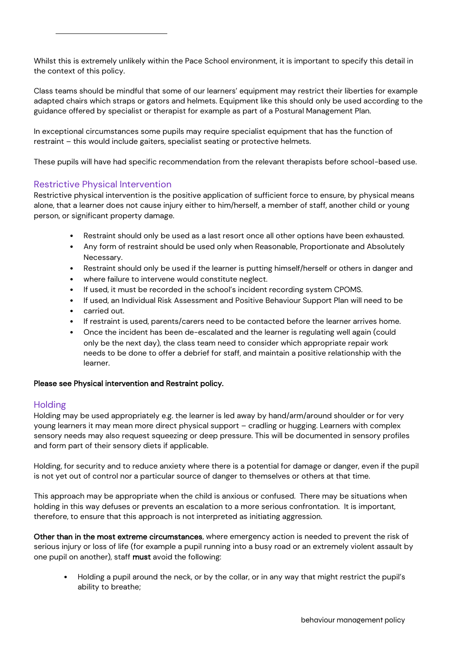Whilst this is extremely unlikely within the Pace School environment, it is important to specify this detail in the context of this policy.

Class teams should be mindful that some of our learners' equipment may restrict their liberties for example adapted chairs which straps or gators and helmets. Equipment like this should only be used according to the guidance offered by specialist or therapist for example as part of a Postural Management Plan.

In exceptional circumstances some pupils may require specialist equipment that has the function of restraint – this would include gaiters, specialist seating or protective helmets.

These pupils will have had specific recommendation from the relevant therapists before school-based use.

## <span id="page-11-0"></span>Restrictive Physical Intervention

Restrictive physical intervention is the positive application of sufficient force to ensure, by physical means alone, that a learner does not cause injury either to him/herself, a member of staff, another child or young person, or significant property damage.

- Restraint should only be used as a last resort once all other options have been exhausted.
- Any form of restraint should be used only when Reasonable, Proportionate and Absolutely Necessary.
- Restraint should only be used if the learner is putting himself/herself or others in danger and
- where failure to intervene would constitute neglect.
- If used, it must be recorded in the school's incident recording system CPOMS.
- If used, an Individual Risk Assessment and Positive Behaviour Support Plan will need to be
- carried out.
- If restraint is used, parents/carers need to be contacted before the learner arrives home.
- Once the incident has been de-escalated and the learner is regulating well again (could only be the next day), the class team need to consider which appropriate repair work needs to be done to offer a debrief for staff, and maintain a positive relationship with the learner.

#### Please see Physical intervention and Restraint policy.

### **Holding**

Holding may be used appropriately e.g. the learner is led away by hand/arm/around shoulder or for very young learners it may mean more direct physical support – cradling or hugging. Learners with complex sensory needs may also request squeezing or deep pressure. This will be documented in sensory profiles and form part of their sensory diets if applicable.

Holding, for security and to reduce anxiety where there is a potential for damage or danger, even if the pupil is not yet out of control nor a particular source of danger to themselves or others at that time.

This approach may be appropriate when the child is anxious or confused. There may be situations when holding in this way defuses or prevents an escalation to a more serious confrontation. It is important, therefore, to ensure that this approach is not interpreted as initiating aggression.

Other than in the most extreme circumstances, where emergency action is needed to prevent the risk of serious injury or loss of life (for example a pupil running into a busy road or an extremely violent assault by one pupil on another), staff must avoid the following:

• Holding a pupil around the neck, or by the collar, or in any way that might restrict the pupil's ability to breathe;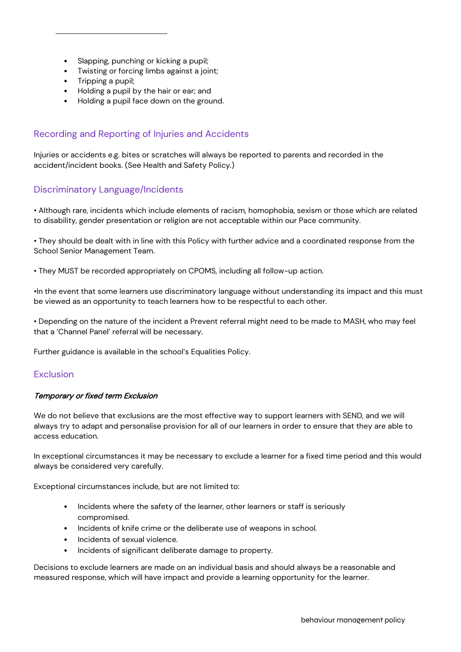- Slapping, punching or kicking a pupil;
- Twisting or forcing limbs against a joint;
- Tripping a pupil;
- Holding a pupil by the hair or ear; and
- Holding a pupil face down on the ground.

# <span id="page-12-0"></span>Recording and Reporting of Injuries and Accidents

Injuries or accidents e.g. bites or scratches will always be reported to parents and recorded in the accident/incident books. (See Health and Safety Policy.)

# <span id="page-12-1"></span>Discriminatory Language/Incidents

• Although rare, incidents which include elements of racism, homophobia, sexism or those which are related to disability, gender presentation or religion are not acceptable within our Pace community.

• They should be dealt with in line with this Policy with further advice and a coordinated response from the School Senior Management Team.

• They MUST be recorded appropriately on CPOMS, including all follow-up action.

•In the event that some learners use discriminatory language without understanding its impact and this must be viewed as an opportunity to teach learners how to be respectful to each other.

• Depending on the nature of the incident a Prevent referral might need to be made to MASH, who may feel that a 'Channel Panel' referral will be necessary.

Further guidance is available in the school's Equalities Policy.

### <span id="page-12-2"></span>Exclusion

#### Temporary or fixed term Exclusion

We do not believe that exclusions are the most effective way to support learners with SEND, and we will always try to adapt and personalise provision for all of our learners in order to ensure that they are able to access education.

In exceptional circumstances it may be necessary to exclude a learner for a fixed time period and this would always be considered very carefully.

Exceptional circumstances include, but are not limited to:

- Incidents where the safety of the learner, other learners or staff is seriously compromised.
- Incidents of knife crime or the deliberate use of weapons in school.
- Incidents of sexual violence.
- Incidents of significant deliberate damage to property.

Decisions to exclude learners are made on an individual basis and should always be a reasonable and measured response, which will have impact and provide a learning opportunity for the learner.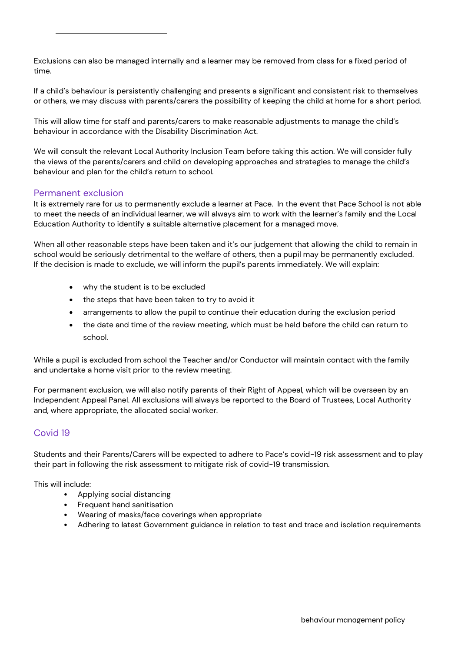Exclusions can also be managed internally and a learner may be removed from class for a fixed period of time.

If a child's behaviour is persistently challenging and presents a significant and consistent risk to themselves or others, we may discuss with parents/carers the possibility of keeping the child at home for a short period.

This will allow time for staff and parents/carers to make reasonable adjustments to manage the child's behaviour in accordance with the Disability Discrimination Act.

We will consult the relevant Local Authority Inclusion Team before taking this action. We will consider fully the views of the parents/carers and child on developing approaches and strategies to manage the child's behaviour and plan for the child's return to school.

### Permanent exclusion

It is extremely rare for us to permanently exclude a learner at Pace. In the event that Pace School is not able to meet the needs of an individual learner, we will always aim to work with the learner's family and the Local Education Authority to identify a suitable alternative placement for a managed move.

When all other reasonable steps have been taken and it's our judgement that allowing the child to remain in school would be seriously detrimental to the welfare of others, then a pupil may be permanently excluded. If the decision is made to exclude, we will inform the pupil's parents immediately. We will explain:

- why the student is to be excluded
- the steps that have been taken to try to avoid it
- arrangements to allow the pupil to continue their education during the exclusion period
- the date and time of the review meeting, which must be held before the child can return to school.

While a pupil is excluded from school the Teacher and/or Conductor will maintain contact with the family and undertake a home visit prior to the review meeting.

For permanent exclusion, we will also notify parents of their Right of Appeal, which will be overseen by an Independent Appeal Panel. All exclusions will always be reported to the Board of Trustees, Local Authority and, where appropriate, the allocated social worker.

# <span id="page-13-0"></span>Covid 19

Students and their Parents/Carers will be expected to adhere to Pace's covid-19 risk assessment and to play their part in following the risk assessment to mitigate risk of covid-19 transmission.

This will include:

- Applying social distancing
- Frequent hand sanitisation
- Wearing of masks/face coverings when appropriate
- Adhering to latest Government guidance in relation to test and trace and isolation requirements